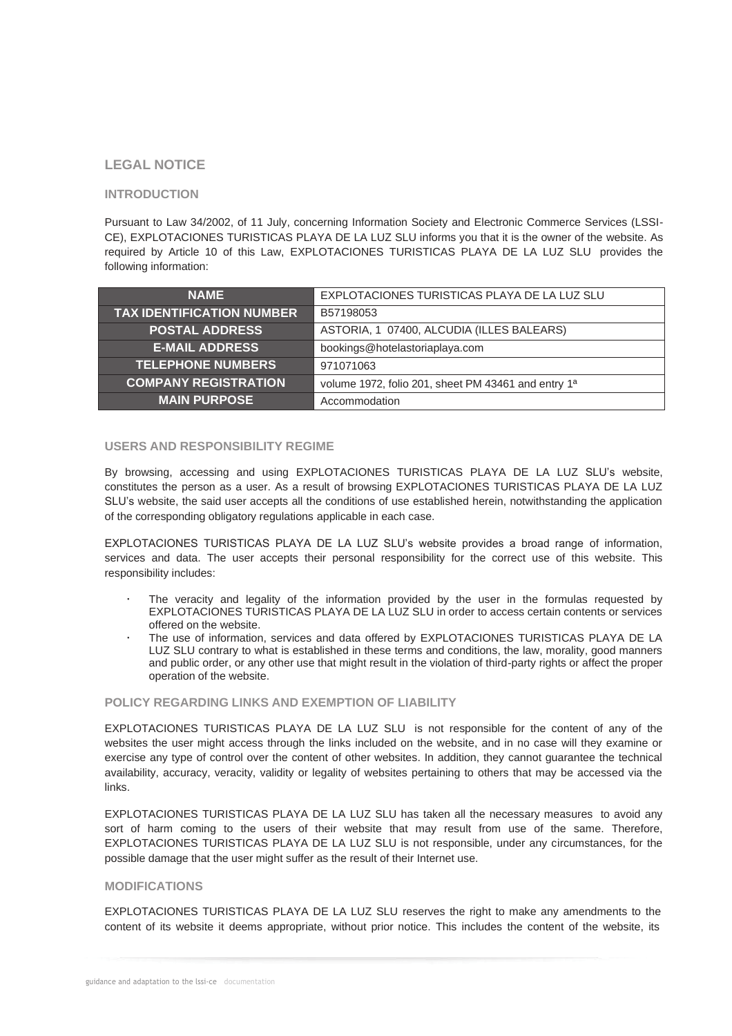## **LEGAL NOTICE**

## **INTRODUCTION**

Pursuant to Law 34/2002, of 11 July, concerning Information Society and Electronic Commerce Services (LSSI-CE), EXPLOTACIONES TURISTICAS PLAYA DE LA LUZ SLU informs you that it is the owner of the website. As required by Article 10 of this Law, EXPLOTACIONES TURISTICAS PLAYA DE LA LUZ SLU provides the following information:

| <b>NAME</b>                      | EXPLOTACIONES TURISTICAS PLAYA DE LA LUZ SLU        |
|----------------------------------|-----------------------------------------------------|
| <b>TAX IDENTIFICATION NUMBER</b> | B57198053                                           |
| <b>POSTAL ADDRESS</b>            | ASTORIA, 1 07400, ALCUDIA (ILLES BALEARS)           |
| <b>E-MAIL ADDRESS</b>            | bookings@hotelastoriaplaya.com                      |
| <b>TELEPHONE NUMBERS</b>         | 971071063                                           |
| <b>COMPANY REGISTRATION</b>      | volume 1972, folio 201, sheet PM 43461 and entry 1ª |
| <b>MAIN PURPOSE</b>              | Accommodation                                       |

### **USERS AND RESPONSIBILITY REGIME**

By browsing, accessing and using EXPLOTACIONES TURISTICAS PLAYA DE LA LUZ SLU's website, constitutes the person as a user. As a result of browsing EXPLOTACIONES TURISTICAS PLAYA DE LA LUZ SLU's website, the said user accepts all the conditions of use established herein, notwithstanding the application of the corresponding obligatory regulations applicable in each case.

EXPLOTACIONES TURISTICAS PLAYA DE LA LUZ SLU's website provides a broad range of information, services and data. The user accepts their personal responsibility for the correct use of this website. This responsibility includes:

- The veracity and legality of the information provided by the user in the formulas requested by EXPLOTACIONES TURISTICAS PLAYA DE LA LUZ SLU in order to access certain contents or services offered on the website.
- The use of information, services and data offered by EXPLOTACIONES TURISTICAS PLAYA DE LA LUZ SLU contrary to what is established in these terms and conditions, the law, morality, good manners and public order, or any other use that might result in the violation of third-party rights or affect the proper operation of the website.

#### **POLICY REGARDING LINKS AND EXEMPTION OF LIABILITY**

EXPLOTACIONES TURISTICAS PLAYA DE LA LUZ SLU is not responsible for the content of any of the websites the user might access through the links included on the website, and in no case will they examine or exercise any type of control over the content of other websites. In addition, they cannot guarantee the technical availability, accuracy, veracity, validity or legality of websites pertaining to others that may be accessed via the links.

EXPLOTACIONES TURISTICAS PLAYA DE LA LUZ SLU has taken all the necessary measures to avoid any sort of harm coming to the users of their website that may result from use of the same. Therefore, EXPLOTACIONES TURISTICAS PLAYA DE LA LUZ SLU is not responsible, under any circumstances, for the possible damage that the user might suffer as the result of their Internet use.

## **MODIFICATIONS**

EXPLOTACIONES TURISTICAS PLAYA DE LA LUZ SLU reserves the right to make any amendments to the content of its website it deems appropriate, without prior notice. This includes the content of the website, its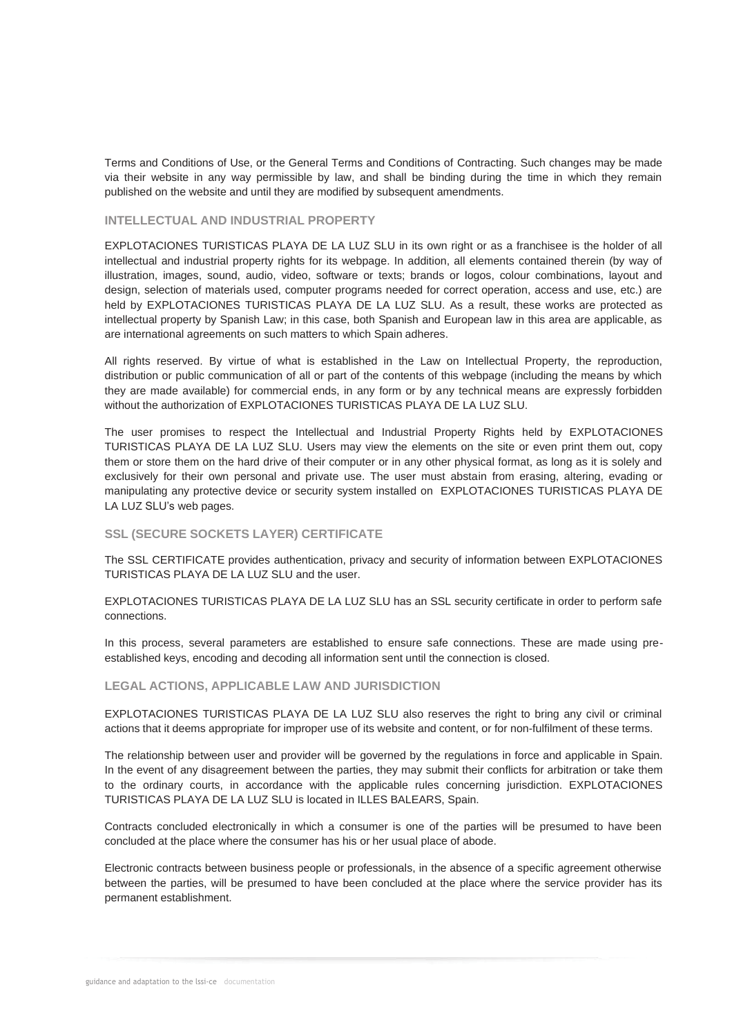Terms and Conditions of Use, or the General Terms and Conditions of Contracting. Such changes may be made via their website in any way permissible by law, and shall be binding during the time in which they remain published on the website and until they are modified by subsequent amendments.

#### **INTELLECTUAL AND INDUSTRIAL PROPERTY**

EXPLOTACIONES TURISTICAS PLAYA DE LA LUZ SLU in its own right or as a franchisee is the holder of all intellectual and industrial property rights for its webpage. In addition, all elements contained therein (by way of illustration, images, sound, audio, video, software or texts; brands or logos, colour combinations, layout and design, selection of materials used, computer programs needed for correct operation, access and use, etc.) are held by EXPLOTACIONES TURISTICAS PLAYA DE LA LUZ SLU. As a result, these works are protected as intellectual property by Spanish Law; in this case, both Spanish and European law in this area are applicable, as are international agreements on such matters to which Spain adheres.

All rights reserved. By virtue of what is established in the Law on Intellectual Property, the reproduction, distribution or public communication of all or part of the contents of this webpage (including the means by which they are made available) for commercial ends, in any form or by any technical means are expressly forbidden without the authorization of EXPLOTACIONES TURISTICAS PLAYA DE LA LUZ SLU.

The user promises to respect the Intellectual and Industrial Property Rights held by EXPLOTACIONES TURISTICAS PLAYA DE LA LUZ SLU. Users may view the elements on the site or even print them out, copy them or store them on the hard drive of their computer or in any other physical format, as long as it is solely and exclusively for their own personal and private use. The user must abstain from erasing, altering, evading or manipulating any protective device or security system installed on EXPLOTACIONES TURISTICAS PLAYA DE LA LUZ SLU's web pages.

# **SSL (SECURE SOCKETS LAYER) CERTIFICATE**

The SSL CERTIFICATE provides authentication, privacy and security of information between EXPLOTACIONES TURISTICAS PLAYA DE LA LUZ SLU and the user.

EXPLOTACIONES TURISTICAS PLAYA DE LA LUZ SLU has an SSL security certificate in order to perform safe connections.

In this process, several parameters are established to ensure safe connections. These are made using preestablished keys, encoding and decoding all information sent until the connection is closed.

#### **LEGAL ACTIONS, APPLICABLE LAW AND JURISDICTION**

EXPLOTACIONES TURISTICAS PLAYA DE LA LUZ SLU also reserves the right to bring any civil or criminal actions that it deems appropriate for improper use of its website and content, or for non-fulfilment of these terms.

The relationship between user and provider will be governed by the regulations in force and applicable in Spain. In the event of any disagreement between the parties, they may submit their conflicts for arbitration or take them to the ordinary courts, in accordance with the applicable rules concerning jurisdiction. EXPLOTACIONES TURISTICAS PLAYA DE LA LUZ SLU is located in ILLES BALEARS, Spain.

Contracts concluded electronically in which a consumer is one of the parties will be presumed to have been concluded at the place where the consumer has his or her usual place of abode.

Electronic contracts between business people or professionals, in the absence of a specific agreement otherwise between the parties, will be presumed to have been concluded at the place where the service provider has its permanent establishment.